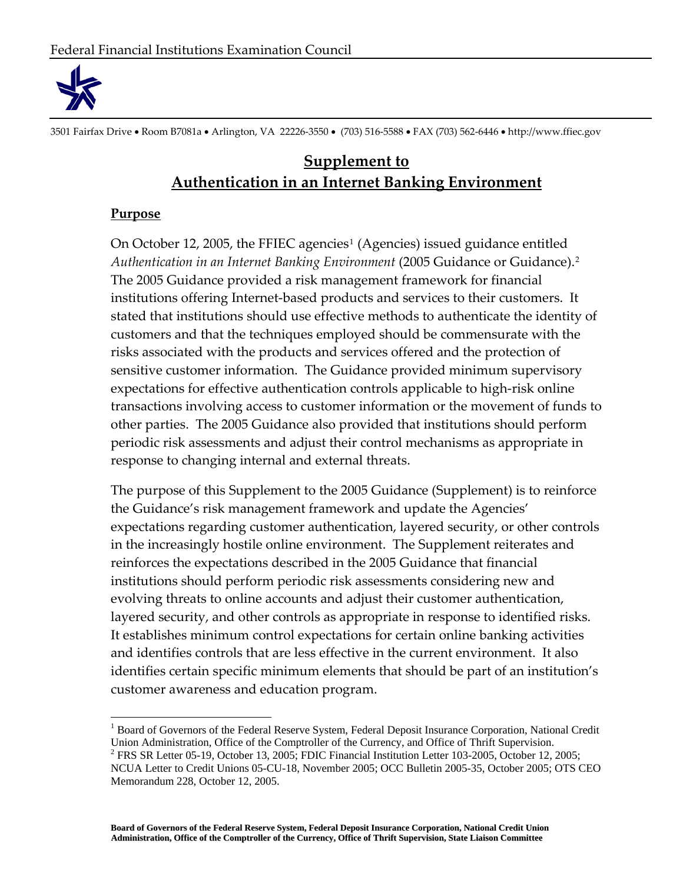

3501 Fairfax Drive Room B7081a Arlington, VA 22226‐3550 (703) 516‐5588 FAX (703) 562‐6446 http://www.ffiec.gov

# **Supplement to Authentication in an Internet Banking Environment**

#### **Purpose**

On October [1](#page-0-0)2, 2005, the FFIEC agencies<sup>1</sup> (Agencies) issued guidance entitled *Authentication in an Internet Banking Environment* (2005 Guidance or Guidance).[2](#page-0-1) The 2005 Guidance provided a risk management framework for financial institutions offering Internet‐based products and services to their customers. It stated that institutions should use effective methods to authenticate the identity of customers and that the techniques employed should be commensurate with the risks associated with the products and services offered and the protection of sensitive customer information. The Guidance provided minimum supervisory expectations for effective authentication controls applicable to high-risk online transactions involving access to customer information or the movement of funds to other parties. The 2005 Guidance also provided that institutions should perform periodic risk assessments and adjust their control mechanisms as appropriate in response to changing internal and external threats.

The purpose of this Supplement to the 2005 Guidance (Supplement) is to reinforce the Guidance's risk management framework and update the Agencies' expectations regarding customer authentication, layered security, or other controls in the increasingly hostile online environment. The Supplement reiterates and reinforces the expectations described in the 2005 Guidance that financial institutions should perform periodic risk assessments considering new and evolving threats to online accounts and adjust their customer authentication, layered security, and other controls as appropriate in response to identified risks. It establishes minimum control expectations for certain online banking activities and identifies controls that are less effective in the current environment. It also identifies certain specific minimum elements that should be part of an institution's customer awareness and education program.

<span id="page-0-0"></span><sup>1</sup> Board of Governors of the Federal Reserve System, Federal Deposit Insurance Corporation, National Credit Union Administration, Office of the Comptroller of the Currency, and Office of Thrift Supervision.

<span id="page-0-1"></span><sup>&</sup>lt;sup>2</sup> FRS SR Letter 05-19, October 13, 2005; FDIC Financial Institution Letter 103-2005, October 12, 2005; NCUA Letter to Credit Unions 05-CU-18, November 2005; OCC Bulletin 2005-35, October 2005; OTS CEO Memorandum 228, October 12, 2005.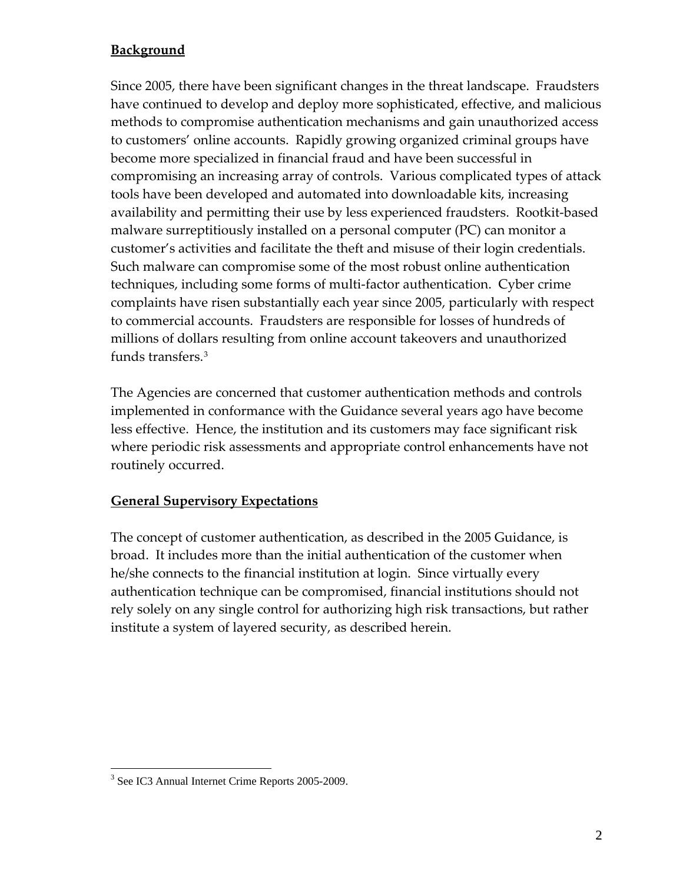## **Background**

Since 2005, there have been significant changes in the threat landscape. Fraudsters have continued to develop and deploy more sophisticated, effective, and malicious methods to compromise authentication mechanisms and gain unauthorized access to customers' online accounts. Rapidly growing organized criminal groups have become more specialized in financial fraud and have been successful in compromising an increasing array of controls. Various complicated types of attack tools have been developed and automated into downloadable kits, increasing availability and permitting their use by less experienced fraudsters. Rootkit‐based malware surreptitiously installed on a personal computer (PC) can monitor a customer's activities and facilitate the theft and misuse of their login credentials. Such malware can compromise some of the most robust online authentication techniques, including some forms of multi‐factor authentication. Cyber crime complaints have risen substantially each year since 2005, particularly with respect to commercial accounts. Fraudsters are responsible for losses of hundreds of millions of dollars resulting from online account takeovers and unauthorized funds transfers.[3](#page-1-0)

The Agencies are concerned that customer authentication methods and controls implemented in conformance with the Guidance several years ago have become less effective. Hence, the institution and its customers may face significant risk where periodic risk assessments and appropriate control enhancements have not routinely occurred.

### **General Supervisory Expectations**

The concept of customer authentication, as described in the 2005 Guidance, is broad. It includes more than the initial authentication of the customer when he/she connects to the financial institution at login. Since virtually every authentication technique can be compromised, financial institutions should not rely solely on any single control for authorizing high risk transactions, but rather institute a system of layered security, as described herein.

<span id="page-1-0"></span><sup>3</sup> See IC3 Annual Internet Crime Reports 2005-2009.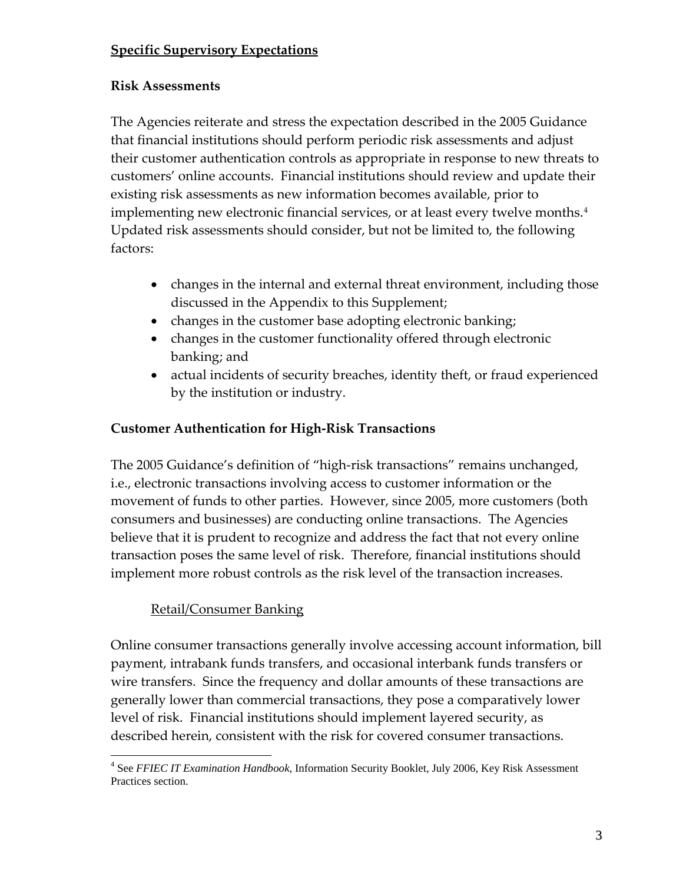## **Specific Supervisory Expectations**

## **Risk Assessments**

The Agencies reiterate and stress the expectation described in the 2005 Guidance that financial institutions should perform periodic risk assessments and adjust their customer authentication controls as appropriate in response to new threats to customers' online accounts. Financial institutions should review and update their existing risk assessments as new information becomes available, prior to implementing new electronic financial services, or at least every twelve months.<sup>[4](#page-2-0)</sup> Updated risk assessments should consider, but not be limited to, the following factors:

- changes in the internal and external threat environment, including those discussed in the Appendix to this Supplement;
- changes in the customer base adopting electronic banking;
- changes in the customer functionality offered through electronic banking; and
- actual incidents of security breaches, identity theft, or fraud experienced by the institution or industry.

## **Customer Authentication for High‐Risk Transactions**

The 2005 Guidance's definition of "high‐risk transactions" remains unchanged, i.e., electronic transactions involving access to customer information or the movement of funds to other parties. However, since 2005, more customers (both consumers and businesses) are conducting online transactions. The Agencies believe that it is prudent to recognize and address the fact that not every online transaction poses the same level of risk. Therefore, financial institutions should implement more robust controls as the risk level of the transaction increases.

## Retail/Consumer Banking

Online consumer transactions generally involve accessing account information, bill payment, intrabank funds transfers, and occasional interbank funds transfers or wire transfers. Since the frequency and dollar amounts of these transactions are generally lower than commercial transactions, they pose a comparatively lower level of risk. Financial institutions should implement layered security, as described herein, consistent with the risk for covered consumer transactions.

<span id="page-2-0"></span><sup>4</sup> See *FFIEC IT Examination Handbook*, Information Security Booklet, July 2006, Key Risk Assessment Practices section.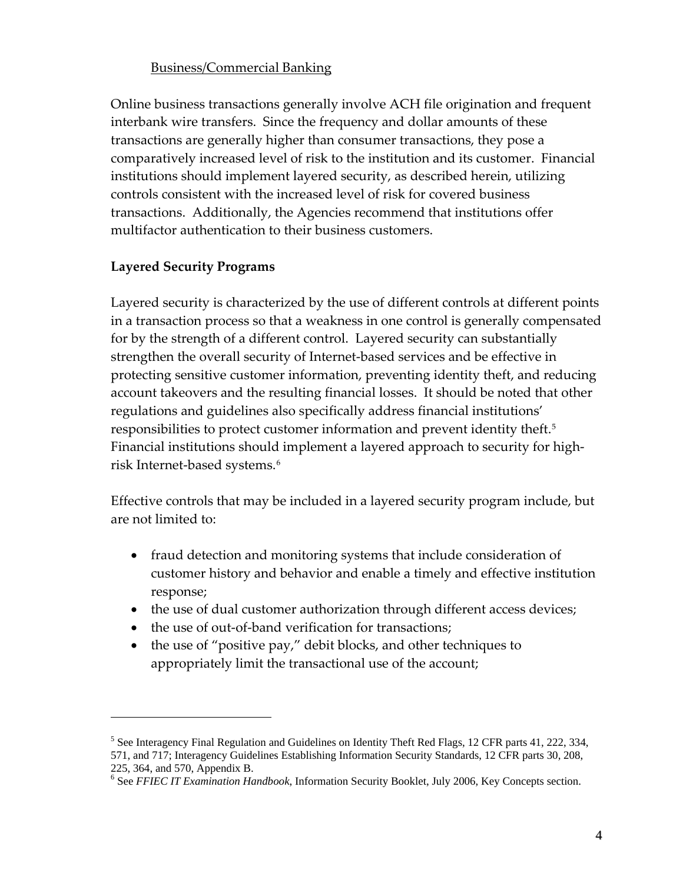### Business/Commercial Banking

Online business transactions generally involve ACH file origination and frequent interbank wire transfers. Since the frequency and dollar amounts of these transactions are generally higher than consumer transactions, they pose a comparatively increased level of risk to the institution and its customer. Financial institutions should implement layered security, as described herein, utilizing controls consistent with the increased level of risk for covered business transactions. Additionally, the Agencies recommend that institutions offer multifactor authentication to their business customers.

## **Layered Security Programs**

Layered security is characterized by the use of different controls at different points in a transaction process so that a weakness in one control is generally compensated for by the strength of a different control. Layered security can substantially strengthen the overall security of Internet‐based services and be effective in protecting sensitive customer information, preventing identity theft, and reducing account takeovers and the resulting financial losses. It should be noted that other regulations and guidelines also specifically address financial institutions' responsibilities to protect customer information and prevent identity theft.[5](#page-3-0) Financial institutions should implement a layered approach to security for highrisk Internet‐based systems.[6](#page-3-1)

Effective controls that may be included in a layered security program include, but are not limited to:

- fraud detection and monitoring systems that include consideration of customer history and behavior and enable a timely and effective institution response;
- the use of dual customer authorization through different access devices;
- the use of out-of-band verification for transactions;
- the use of "positive pay," debit blocks, and other techniques to appropriately limit the transactional use of the account;

<span id="page-3-1"></span><span id="page-3-0"></span><sup>&</sup>lt;sup>5</sup> See Interagency Final Regulation and Guidelines on Identity Theft Red Flags, 12 CFR parts 41, 222, 334, 571, and 717; Interagency Guidelines Establishing Information Security Standards, 12 CFR parts 30, 208, 225, 364, and 570, Appendix B.

<sup>6</sup> See *FFIEC IT Examination Handbook*, Information Security Booklet, July 2006, Key Concepts section.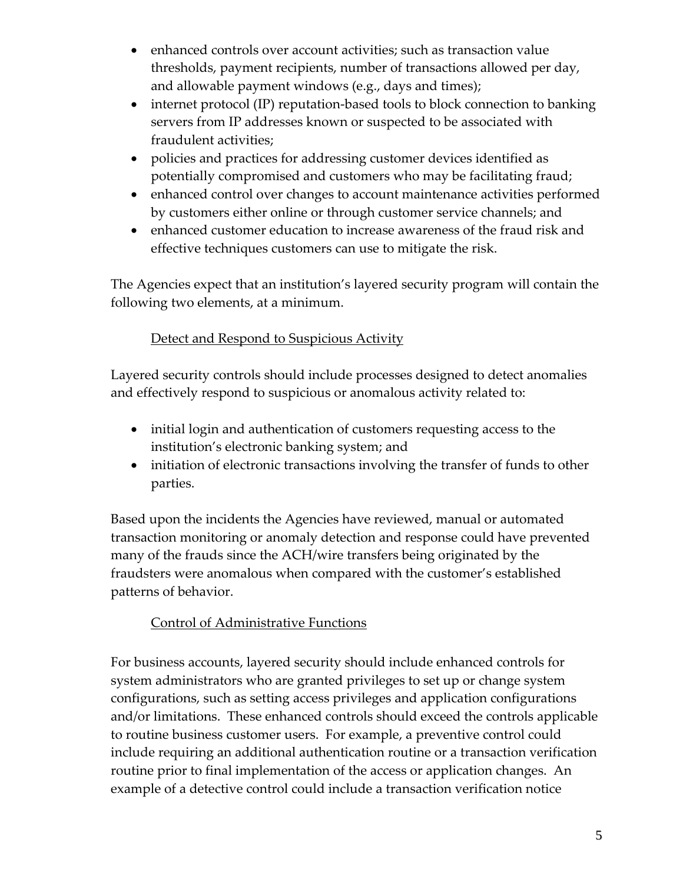- enhanced controls over account activities; such as transaction value thresholds, payment recipients, number of transactions allowed per day, and allowable payment windows (e.g., days and times);
- internet protocol (IP) reputation-based tools to block connection to banking servers from IP addresses known or suspected to be associated with fraudulent activities;
- policies and practices for addressing customer devices identified as potentially compromised and customers who may be facilitating fraud;
- enhanced control over changes to account maintenance activities performed by customers either online or through customer service channels; and
- enhanced customer education to increase awareness of the fraud risk and effective techniques customers can use to mitigate the risk.

The Agencies expect that an institution's layered security program will contain the following two elements, at a minimum.

## Detect and Respond to Suspicious Activity

Layered security controls should include processes designed to detect anomalies and effectively respond to suspicious or anomalous activity related to:

- initial login and authentication of customers requesting access to the institution's electronic banking system; and
- initiation of electronic transactions involving the transfer of funds to other parties.

Based upon the incidents the Agencies have reviewed, manual or automated transaction monitoring or anomaly detection and response could have prevented many of the frauds since the ACH/wire transfers being originated by the fraudsters were anomalous when compared with the customer's established patterns of behavior.

# Control of Administrative Functions

For business accounts, layered security should include enhanced controls for system administrators who are granted privileges to set up or change system configurations, such as setting access privileges and application configurations and/or limitations. These enhanced controls should exceed the controls applicable to routine business customer users. For example, a preventive control could include requiring an additional authentication routine or a transaction verification routine prior to final implementation of the access or application changes. An example of a detective control could include a transaction verification notice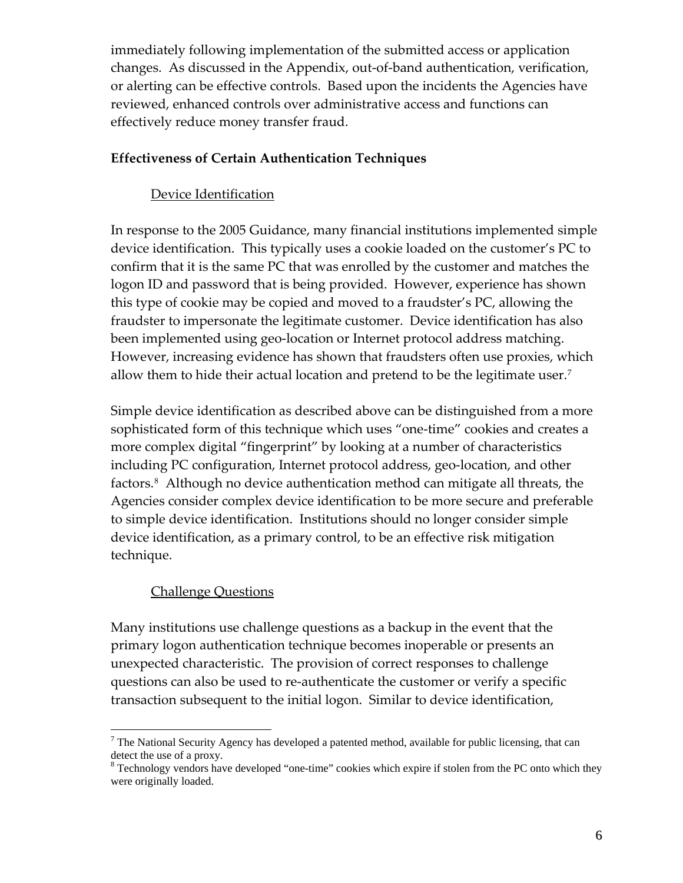immediately following implementation of the submitted access or application changes. As discussed in the Appendix, out‐of‐band authentication, verification, or alerting can be effective controls. Based upon the incidents the Agencies have reviewed, enhanced controls over administrative access and functions can effectively reduce money transfer fraud.

#### **Effectiveness of Certain Authentication Techniques**

### Device Identification

In response to the 2005 Guidance, many financial institutions implemented simple device identification. This typically uses a cookie loaded on the customer's PC to confirm that it is the same PC that was enrolled by the customer and matches the logon ID and password that is being provided. However, experience has shown this type of cookie may be copied and moved to a fraudster's PC, allowing the fraudster to impersonate the legitimate customer. Device identification has also been implemented using geo‐location or Internet protocol address matching. However, increasing evidence has shown that fraudsters often use proxies, which allow them to hide their actual location and pretend to be the legitimate user.<sup>[7](#page-5-0)</sup>

Simple device identification as described above can be distinguished from a more sophisticated form of this technique which uses "one-time" cookies and creates a more complex digital "fingerprint" by looking at a number of characteristics including PC configuration, Internet protocol address, geo‐location, and other factors[.8](#page-5-1) Although no device authentication method can mitigate all threats, the Agencies consider complex device identification to be more secure and preferable to simple device identification. Institutions should no longer consider simple device identification, as a primary control, to be an effective risk mitigation technique.

### Challenge Questions

Many institutions use challenge questions as a backup in the event that the primary logon authentication technique becomes inoperable or presents an unexpected characteristic. The provision of correct responses to challenge questions can also be used to re‐authenticate the customer or verify a specific transaction subsequent to the initial logon. Similar to device identification,

<span id="page-5-0"></span> $<sup>7</sup>$  The National Security Agency has developed a patented method, available for public licensing, that can</sup> detect the use of a proxy.

<span id="page-5-1"></span><sup>&</sup>lt;sup>8</sup> Technology vendors have developed "one-time" cookies which expire if stolen from the PC onto which they were originally loaded.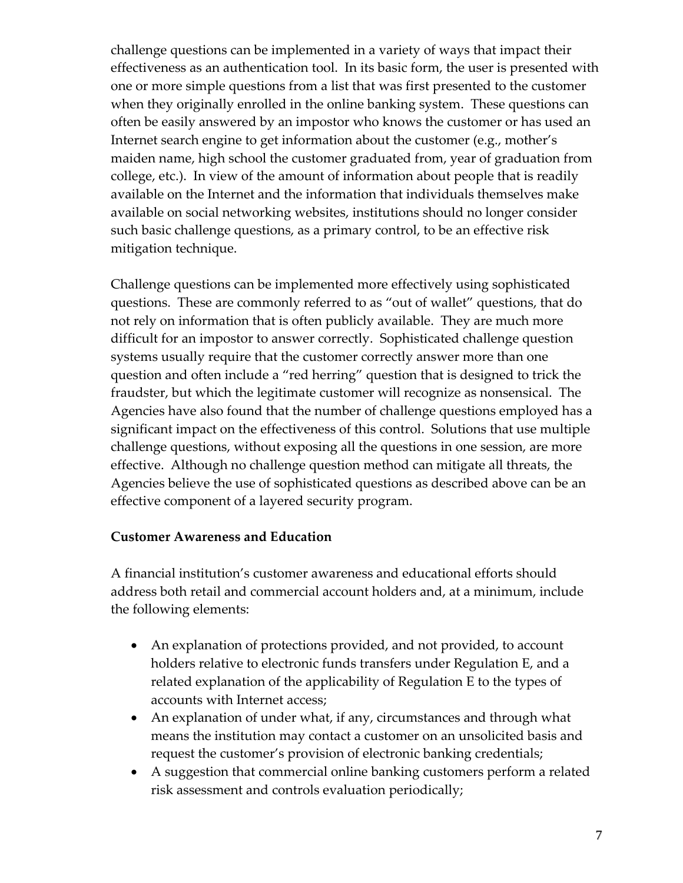challenge questions can be implemented in a variety of ways that impact their effectiveness as an authentication tool. In its basic form, the user is presented with one or more simple questions from a list that was first presented to the customer when they originally enrolled in the online banking system. These questions can often be easily answered by an impostor who knows the customer or has used an Internet search engine to get information about the customer (e.g., mother's maiden name, high school the customer graduated from, year of graduation from college, etc.). In view of the amount of information about people that is readily available on the Internet and the information that individuals themselves make available on social networking websites, institutions should no longer consider such basic challenge questions, as a primary control, to be an effective risk mitigation technique.

Challenge questions can be implemented more effectively using sophisticated questions. These are commonly referred to as "out of wallet" questions, that do not rely on information that is often publicly available. They are much more difficult for an impostor to answer correctly. Sophisticated challenge question systems usually require that the customer correctly answer more than one question and often include a "red herring" question that is designed to trick the fraudster, but which the legitimate customer will recognize as nonsensical. The Agencies have also found that the number of challenge questions employed has a significant impact on the effectiveness of this control. Solutions that use multiple challenge questions, without exposing all the questions in one session, are more effective. Although no challenge question method can mitigate all threats, the Agencies believe the use of sophisticated questions as described above can be an effective component of a layered security program.

#### **Customer Awareness and Education**

A financial institution's customer awareness and educational efforts should address both retail and commercial account holders and, at a minimum, include the following elements:

- An explanation of protections provided, and not provided, to account holders relative to electronic funds transfers under Regulation E, and a related explanation of the applicability of Regulation E to the types of accounts with Internet access;
- An explanation of under what, if any, circumstances and through what means the institution may contact a customer on an unsolicited basis and request the customer's provision of electronic banking credentials;
- A suggestion that commercial online banking customers perform a related risk assessment and controls evaluation periodically;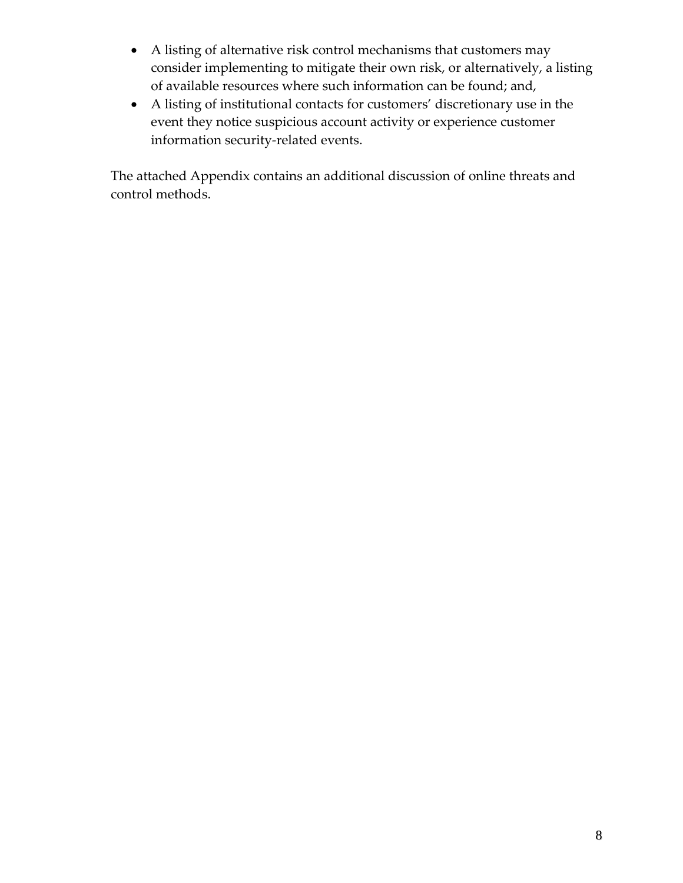- A listing of alternative risk control mechanisms that customers may consider implementing to mitigate their own risk, or alternatively, a listing of available resources where such information can be found; and,
- A listing of institutional contacts for customers' discretionary use in the event they notice suspicious account activity or experience customer information security-related events.

The attached Appendix contains an additional discussion of online threats and control methods.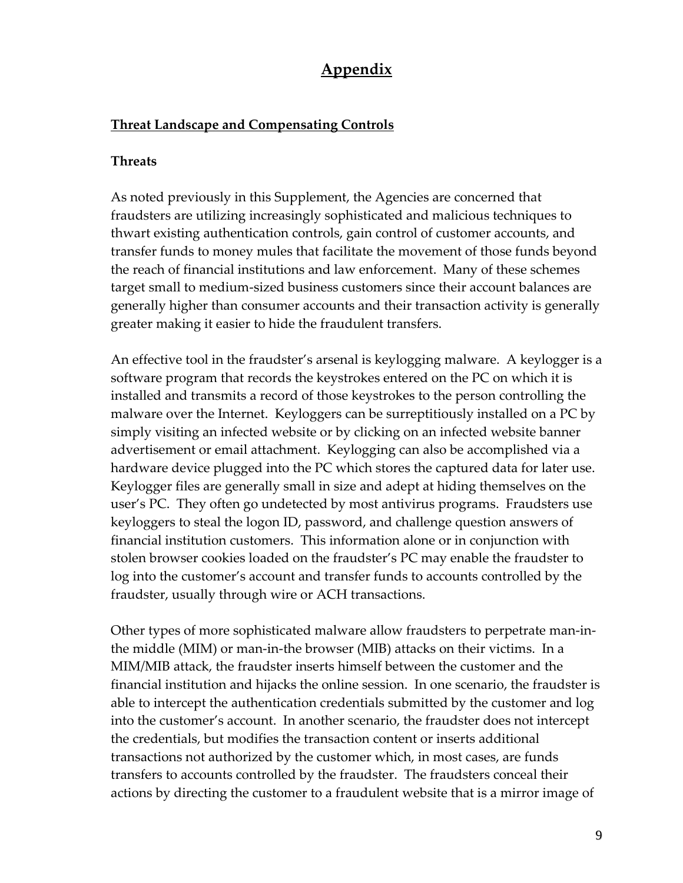# **Appendix**

#### **Threat Landscape and Compensating Controls**

#### **Threats**

As noted previously in this Supplement, the Agencies are concerned that fraudsters are utilizing increasingly sophisticated and malicious techniques to thwart existing authentication controls, gain control of customer accounts, and transfer funds to money mules that facilitate the movement of those funds beyond the reach of financial institutions and law enforcement. Many of these schemes target small to medium‐sized business customers since their account balances are generally higher than consumer accounts and their transaction activity is generally greater making it easier to hide the fraudulent transfers.

An effective tool in the fraudster's arsenal is keylogging malware. A keylogger is a software program that records the keystrokes entered on the PC on which it is installed and transmits a record of those keystrokes to the person controlling the malware over the Internet. Keyloggers can be surreptitiously installed on a PC by simply visiting an infected website or by clicking on an infected website banner advertisement or email attachment. Keylogging can also be accomplished via a hardware device plugged into the PC which stores the captured data for later use. Keylogger files are generally small in size and adept at hiding themselves on the user's PC. They often go undetected by most antivirus programs. Fraudsters use keyloggers to steal the logon ID, password, and challenge question answers of financial institution customers. This information alone or in conjunction with stolen browser cookies loaded on the fraudster's PC may enable the fraudster to log into the customer's account and transfer funds to accounts controlled by the fraudster, usually through wire or ACH transactions.

Other types of more sophisticated malware allow fraudsters to perpetrate man‐in‐ the middle (MIM) or man‐in‐the browser (MIB) attacks on their victims. In a MIM/MIB attack, the fraudster inserts himself between the customer and the financial institution and hijacks the online session. In one scenario, the fraudster is able to intercept the authentication credentials submitted by the customer and log into the customer's account. In another scenario, the fraudster does not intercept the credentials, but modifies the transaction content or inserts additional transactions not authorized by the customer which, in most cases, are funds transfers to accounts controlled by the fraudster. The fraudsters conceal their actions by directing the customer to a fraudulent website that is a mirror image of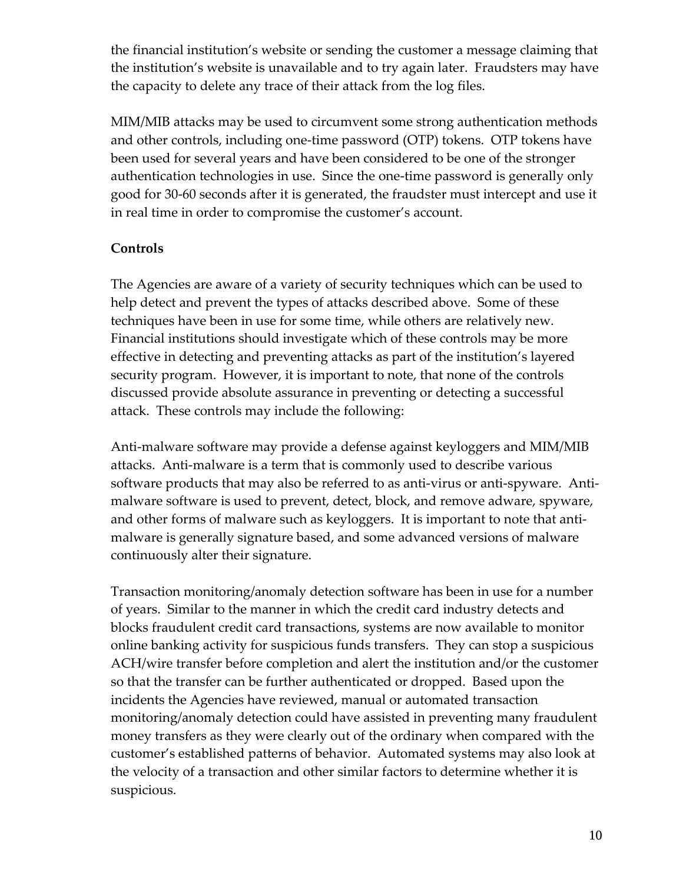the financial institution's website or sending the customer a message claiming that the institution's website is unavailable and to try again later. Fraudsters may have the capacity to delete any trace of their attack from the log files.

MIM/MIB attacks may be used to circumvent some strong authentication methods and other controls, including one‐time password (OTP) tokens. OTP tokens have been used for several years and have been considered to be one of the stronger authentication technologies in use. Since the one‐time password is generally only good for 30‐60 seconds after it is generated, the fraudster must intercept and use it in real time in order to compromise the customer's account.

#### **Controls**

The Agencies are aware of a variety of security techniques which can be used to help detect and prevent the types of attacks described above. Some of these techniques have been in use for some time, while others are relatively new. Financial institutions should investigate which of these controls may be more effective in detecting and preventing attacks as part of the institution's layered security program. However, it is important to note, that none of the controls discussed provide absolute assurance in preventing or detecting a successful attack. These controls may include the following:

Anti-malware software may provide a defense against keyloggers and MIM/MIB attacks. Anti‐malware is a term that is commonly used to describe various software products that may also be referred to as anti-virus or anti-spyware. Antimalware software is used to prevent, detect, block, and remove adware, spyware, and other forms of malware such as keyloggers. It is important to note that antimalware is generally signature based, and some advanced versions of malware continuously alter their signature.

Transaction monitoring/anomaly detection software has been in use for a number of years. Similar to the manner in which the credit card industry detects and blocks fraudulent credit card transactions, systems are now available to monitor online banking activity for suspicious funds transfers. They can stop a suspicious ACH/wire transfer before completion and alert the institution and/or the customer so that the transfer can be further authenticated or dropped. Based upon the incidents the Agencies have reviewed, manual or automated transaction monitoring/anomaly detection could have assisted in preventing many fraudulent money transfers as they were clearly out of the ordinary when compared with the customer's established patterns of behavior. Automated systems may also look at the velocity of a transaction and other similar factors to determine whether it is suspicious.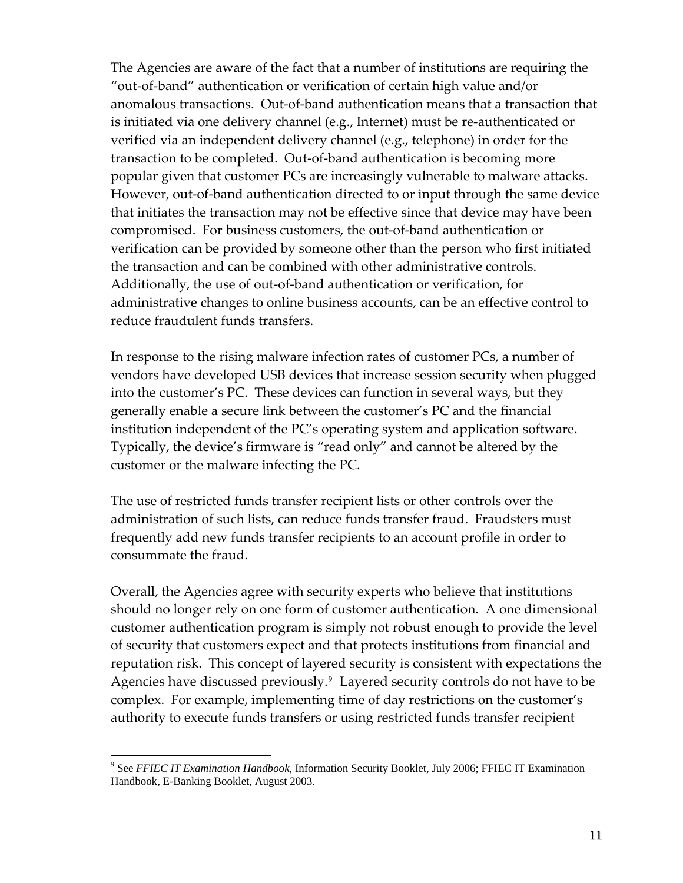The Agencies are aware of the fact that a number of institutions are requiring the "out‐of‐band" authentication or verification of certain high value and/or anomalous transactions. Out‐of‐band authentication means that a transaction that is initiated via one delivery channel (e.g., Internet) must be re-authenticated or verified via an independent delivery channel (e.g., telephone) in order for the transaction to be completed. Out‐of‐band authentication is becoming more popular given that customer PCs are increasingly vulnerable to malware attacks. However, out-of-band authentication directed to or input through the same device that initiates the transaction may not be effective since that device may have been compromised. For business customers, the out‐of‐band authentication or verification can be provided by someone other than the person who first initiated the transaction and can be combined with other administrative controls. Additionally, the use of out‐of‐band authentication or verification, for administrative changes to online business accounts, can be an effective control to reduce fraudulent funds transfers.

In response to the rising malware infection rates of customer PCs, a number of vendors have developed USB devices that increase session security when plugged into the customer's PC. These devices can function in several ways, but they generally enable a secure link between the customer's PC and the financial institution independent of the PC's operating system and application software. Typically, the device's firmware is "read only" and cannot be altered by the customer or the malware infecting the PC.

The use of restricted funds transfer recipient lists or other controls over the administration of such lists, can reduce funds transfer fraud. Fraudsters must frequently add new funds transfer recipients to an account profile in order to consummate the fraud.

Overall, the Agencies agree with security experts who believe that institutions should no longer rely on one form of customer authentication. A one dimensional customer authentication program is simply not robust enough to provide the level of security that customers expect and that protects institutions from financial and reputation risk. This concept of layered security is consistent with expectations the Agencies have discussed previously.<sup>[9](#page-10-0)</sup> Layered security controls do not have to be complex. For example, implementing time of day restrictions on the customer's authority to execute funds transfers or using restricted funds transfer recipient

<span id="page-10-0"></span><sup>9</sup> See *FFIEC IT Examination Handbook*, Information Security Booklet, July 2006; FFIEC IT Examination Handbook, E-Banking Booklet, August 2003.